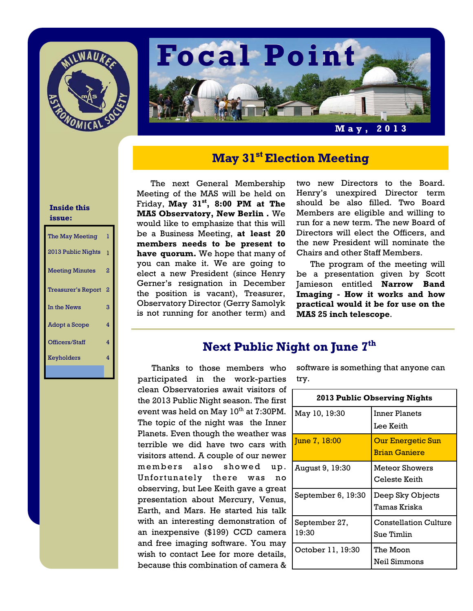



# **May 31st Election Meeting**

#### The next General Membership Meeting of the MAS will be held on Friday, **May 31st, 8:00 PM at The MAS Observatory, New Berlin .** We would like to emphasize that this will be a Business Meeting, **at least 20 members needs to be present to have quorum.** We hope that many of you can make it. We are going to elect a new President (since Henry Gerner's resignation in December the position is vacant), Treasurer, Observatory Director (Gerry Samolyk is not running for another term) and

two new Directors to the Board. Henry's unexpired Director term should be also filled. Two Board Members are eligible and willing to run for a new term. The new Board of Directors will elect the Officers, and the new President will nominate the Chairs and other Staff Members.

 The program of the meeting will be a presentation given by Scott Jamieson entitled **Narrow Band Imaging - How it works and how practical would it be for use on the MAS 25 inch telescope**.

### **Next Public Night on June 7th**

Thanks to those members who participated in the work-parties clean Observatories await visitors of the 2013 Public Night season. The first event was held on May  $10^{th}$  at 7:30PM. The topic of the night was the Inner Planets. Even though the weather was terrible we did have two cars with visitors attend. A couple of our newer members also showed up. Unfortunately there was no observing, but Lee Keith gave a great presentation about Mercury, Venus, Earth, and Mars. He started his talk with an interesting demonstration of an inexpensive (\$199) CCD camera and free imaging software. You may wish to contact Lee for more details, because this combination of camera &

software is something that anyone can try.

| <b>2013 Public Observing Nights</b> |                                                  |  |
|-------------------------------------|--------------------------------------------------|--|
| May 10, 19:30                       | Inner Planets<br>Lee Keith                       |  |
| June 7, 18:00                       | <b>Our Energetic Sun</b><br><b>Brian Ganiere</b> |  |
| August 9, 19:30                     | Meteor Showers<br>Celeste Keith                  |  |
| September 6, 19:30                  | Deep Sky Objects<br>Tamas Kriska                 |  |
| September 27,<br>19:30              | <b>Constellation Culture</b><br>Sue Timlin       |  |
| October 11, 19:30                   | The Moon<br>Neil Simmons                         |  |

#### **Inside this issue:**

| The May Meeting           | 1            |
|---------------------------|--------------|
| 2013 Public Nights        | $\mathbf{1}$ |
| <b>Meeting Minutes</b>    | 2            |
| <b>Treasurer's Report</b> | 2            |
| In the News               | 3            |
| <b>Adopt a Scope</b>      | 4            |
| Officers/Staff            | 4            |
| Keyholders                | 4            |
|                           |              |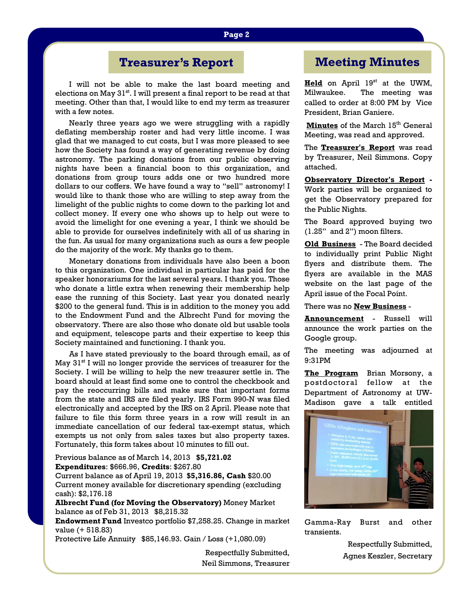# **Treasurer's Report**

I will not be able to make the last board meeting and elections on May  $31<sup>st</sup>$ . I will present a final report to be read at that meeting. Other than that, I would like to end my term as treasurer with a few notes.

 Nearly three years ago we were struggling with a rapidly deflating membership roster and had very little income. I was glad that we managed to cut costs, but I was more pleased to see how the Society has found a way of generating revenue by doing astronomy. The parking donations from our public observing nights have been a financial boon to this organization, and donations from group tours adds one or two hundred more dollars to our coffers. We have found a way to "sell" astronomy! I would like to thank those who are willing to step away from the limelight of the public nights to come down to the parking lot and collect money. If every one who shows up to help out were to avoid the limelight for one evening a year, I think we should be able to provide for ourselves indefinitely with all of us sharing in the fun. As usual for many organizations such as ours a few people do the majority of the work. My thanks go to them.

 Monetary donations from individuals have also been a boon to this organization. One individual in particular has paid for the speaker honorariums for the last several years. I thank you. Those who donate a little extra when renewing their membership help ease the running of this Society. Last year you donated nearly \$200 to the general fund. This is in addition to the money you add to the Endowment Fund and the Albrecht Fund for moving the observatory. There are also those who donate old but usable tools and equipment, telescope parts and their expertise to keep this Society maintained and functioning. I thank you.

 As I have stated previously to the board through email, as of May  $31<sup>st</sup>$  I will no longer provide the services of treasurer for the Society. I will be willing to help the new treasurer settle in. The board should at least find some one to control the checkbook and pay the reoccurring bills and make sure that important forms from the state and IRS are filed yearly. IRS Form 990-N was filed electronically and accepted by the IRS on 2 April. Please note that failure to file this form three years in a row will result in an immediate cancellation of our federal tax-exempt status, which exempts us not only from sales taxes but also property taxes. Fortunately, this form takes about 10 minutes to fill out.

Previous balance as of March 14, 2013 **\$5,721.02 Expenditures**: \$666.96, **Credits**: \$267.80

Current balance as of April 19, 2013 **\$5,316.86, Cash** \$20.00 Current money available for discretionary spending (excluding cash): \$2,176.18

**Albrecht Fund (for Moving the Observatory)** Money Market balance as of Feb 31, 2013 \$8,215.32

**Endowment Fund** Investco portfolio \$7,258.25. Change in market value (+ 518.83)

Protective Life Annuity \$85,146.93. Gain / Loss (+1,080.09)

Respectfully Submitted, Neil Simmons, Treasurer

## **Meeting Minutes**

Held on April 19<sup>st</sup> at the UWM, Milwaukee. The meeting was called to order at 8:00 PM by Vice President, Brian Ganiere.

**Minutes** of the March 15<sup>th</sup> General Meeting, was read and approved.

The **Treasurer's Report** was read by Treasurer, Neil Simmons. Copy attached.

**Observatory Director's Report -**  Work parties will be organized to get the Observatory prepared for the Public Nights.

The Board approved buying two (1.25" and 2") moon filters.

**Old Business** - The Board decided to individually print Public Night flyers and distribute them. The flyers are available in the MAS website on the last page of the April issue of the Focal Point.

There was no **New Business** -

**Announcement** - Russell will announce the work parties on the Google group.

The meeting was adjourned at 9:31PM

**The Program** Brian Morsony, a postdoctoral fellow at the Department of Astronomy at UW-Madison gave a talk entitled



Gamma-Ray Burst and other transients.

> Respectfully Submitted, Agnes Keszler, Secretary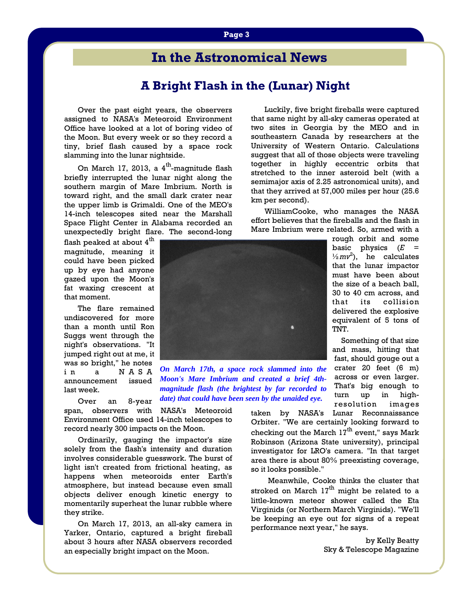# **In the Astronomical News**

### **A Bright Flash in the (Lunar) Night**

Over the past eight years, the observers assigned to NASA's Meteoroid Environment Office have looked at a lot of boring video of the Moon. But every week or so they record a tiny, brief flash caused by a space rock slamming into the lunar nightside.

On March 17, 2013, a  $4^{\text{th}}$ -magnitude flash briefly interrupted the lunar night along the southern margin of Mare Imbrium. North is toward right, and the small dark crater near the upper limb is Grimaldi. One of the MEO's 14-inch telescopes sited near the Marshall Space Flight Center in Alabama recorded an unexpectedly bright flare. The second-long

flash peaked at about 4<sup>th</sup> magnitude, meaning it could have been picked up by eye had anyone gazed upon the Moon's fat waxing crescent at that moment.

 The flare remained undiscovered for more than a month until Ron Suggs went through the night's observations. "It jumped right out at me, it was so bright," he notes in a NASA announcement issued last week.

 Over an 8-year span, observers with NASA's Meteoroid Environment Office used 14-inch telescopes to record nearly 300 impacts on the Moon.

 Ordinarily, gauging the impactor's size solely from the flash's intensity and duration involves considerable guesswork. The burst of light isn't created from frictional heating, as happens when meteoroids enter Earth's atmosphere, but instead because even small objects deliver enough kinetic energy to momentarily superheat the lunar rubble where they strike.

 On March 17, 2013, an all-sky camera in Yarker, Ontario, captured a bright fireball about 3 hours after NASA observers recorded an especially bright impact on the Moon.

 Luckily, five bright fireballs were captured that same night by all-sky cameras operated at two sites in Georgia by the MEO and in southeastern Canada by researchers at the University of Western Ontario. Calculations suggest that all of those objects were traveling together in highly eccentric orbits that stretched to the inner asteroid belt (with a semimajor axis of 2.25 astronomical units), and that they arrived at 57,000 miles per hour (25.6 km per second).

 WilliamCooke, who manages the NASA effort believes that the fireballs and the flash in Mare Imbrium were related. So, armed with a

> rough orbit and some basic physics (*E* =  $\frac{1}{2}mv^2$ ), he calculates that the lunar impactor must have been about the size of a beach ball, 30 to 40 cm across, and that its collision delivered the explosive equivalent of 5 tons of

 Something of that size and mass, hitting that fast, should gouge out a crater 20 feet (6 m) across or even larger. That's big enough to turn up in high-



*On March 17th, a space rock slammed into the Moon's Mare Imbrium and created a brief 4thmagnitude flash (the brightest by far recorded to date) that could have been seen by the unaided eye.*

resolution images taken by NASA's Lunar Reconnaissance Orbiter. "We are certainly looking forward to checking out the March  $17<sup>th</sup>$  event," says Mark Robinson (Arizona State university), principal investigator for LRO's camera. "In that target area there is about 80% preexisting coverage, so it looks possible."

TNT.

 Meanwhile, Cooke thinks the cluster that stroked on March  $17<sup>th</sup>$  might be related to a little-known meteor shower called the Eta Virginids (or Northern March Virginids). "We'll be keeping an eye out for signs of a repeat performance next year," he says.

> by Kelly Beatty Sky & Telescope Magazine

**Page 3**